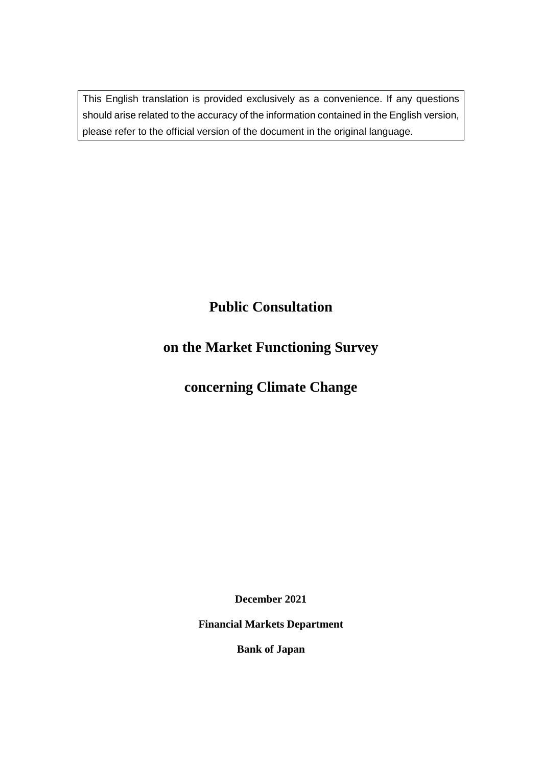This English translation is provided exclusively as a convenience. If any questions should arise related to the accuracy of the information contained in the English version, please refer to the official version of the document in the original language.

# **Public Consultation**

# **on the Market Functioning Survey**

# **concerning Climate Change**

**December 2021**

**Financial Markets Department**

**Bank of Japan**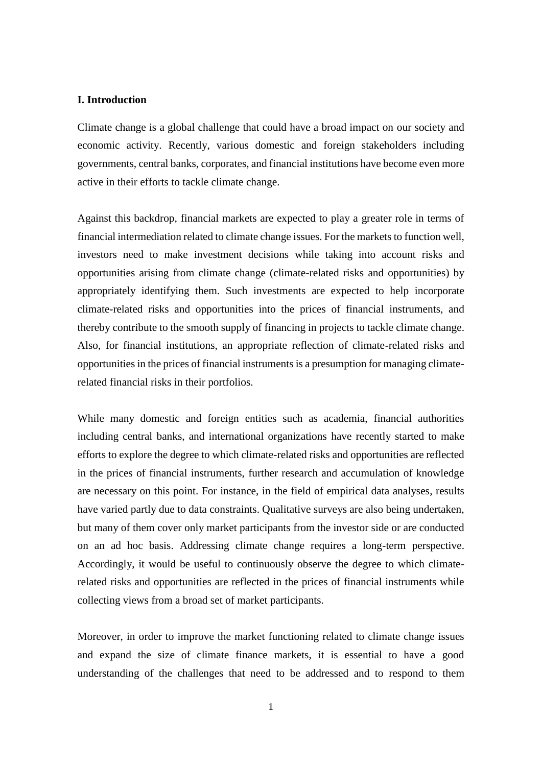#### **I. Introduction**

Climate change is a global challenge that could have a broad impact on our society and economic activity. Recently, various domestic and foreign stakeholders including governments, central banks, corporates, and financial institutions have become even more active in their efforts to tackle climate change.

Against this backdrop, financial markets are expected to play a greater role in terms of financial intermediation related to climate change issues. For the markets to function well, investors need to make investment decisions while taking into account risks and opportunities arising from climate change (climate-related risks and opportunities) by appropriately identifying them. Such investments are expected to help incorporate climate-related risks and opportunities into the prices of financial instruments, and thereby contribute to the smooth supply of financing in projects to tackle climate change. Also, for financial institutions, an appropriate reflection of climate-related risks and opportunities in the prices of financial instruments is a presumption for managing climaterelated financial risks in their portfolios.

While many domestic and foreign entities such as academia, financial authorities including central banks, and international organizations have recently started to make efforts to explore the degree to which climate-related risks and opportunities are reflected in the prices of financial instruments, further research and accumulation of knowledge are necessary on this point. For instance, in the field of empirical data analyses, results have varied partly due to data constraints. Qualitative surveys are also being undertaken, but many of them cover only market participants from the investor side or are conducted on an ad hoc basis. Addressing climate change requires a long-term perspective. Accordingly, it would be useful to continuously observe the degree to which climaterelated risks and opportunities are reflected in the prices of financial instruments while collecting views from a broad set of market participants.

Moreover, in order to improve the market functioning related to climate change issues and expand the size of climate finance markets, it is essential to have a good understanding of the challenges that need to be addressed and to respond to them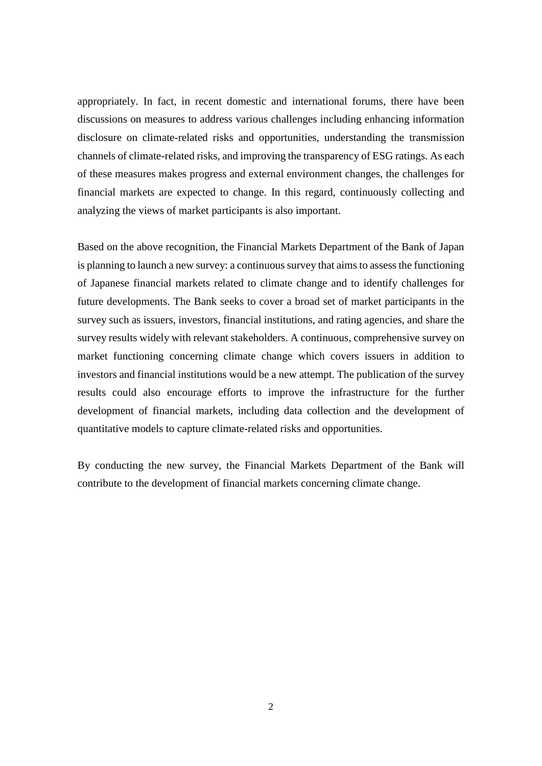appropriately. In fact, in recent domestic and international forums, there have been discussions on measures to address various challenges including enhancing information disclosure on climate-related risks and opportunities, understanding the transmission channels of climate-related risks, and improving the transparency of ESG ratings. As each of these measures makes progress and external environment changes, the challenges for financial markets are expected to change. In this regard, continuously collecting and analyzing the views of market participants is also important.

Based on the above recognition, the Financial Markets Department of the Bank of Japan is planning to launch a new survey: a continuous survey that aims to assess the functioning of Japanese financial markets related to climate change and to identify challenges for future developments. The Bank seeks to cover a broad set of market participants in the survey such as issuers, investors, financial institutions, and rating agencies, and share the survey results widely with relevant stakeholders. A continuous, comprehensive survey on market functioning concerning climate change which covers issuers in addition to investors and financial institutions would be a new attempt. The publication of the survey results could also encourage efforts to improve the infrastructure for the further development of financial markets, including data collection and the development of quantitative models to capture climate-related risks and opportunities.

By conducting the new survey, the Financial Markets Department of the Bank will contribute to the development of financial markets concerning climate change.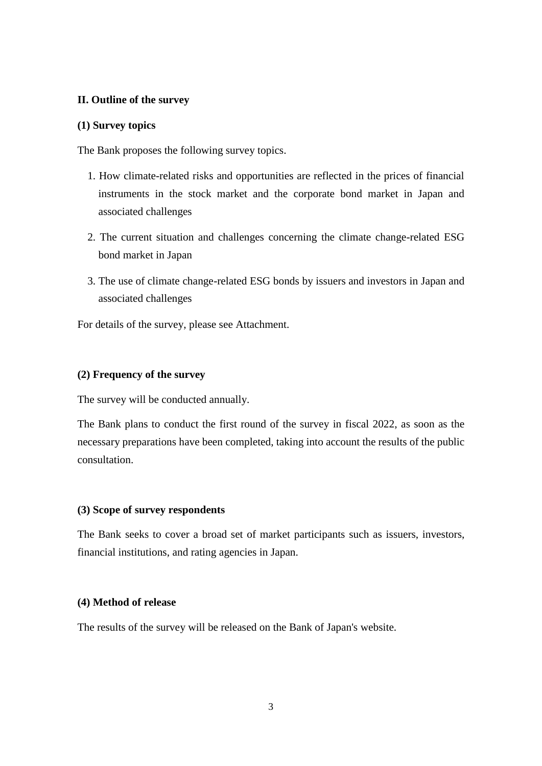## **II. Outline of the survey**

## **(1) Survey topics**

The Bank proposes the following survey topics.

- 1. How climate-related risks and opportunities are reflected in the prices of financial instruments in the stock market and the corporate bond market in Japan and associated challenges
- 2. The current situation and challenges concerning the climate change-related ESG bond market in Japan
- 3. The use of climate change-related ESG bonds by issuers and investors in Japan and associated challenges

For details of the survey, please see Attachment.

# **(2) Frequency of the survey**

The survey will be conducted annually.

The Bank plans to conduct the first round of the survey in fiscal 2022, as soon as the necessary preparations have been completed, taking into account the results of the public consultation.

## **(3) Scope of survey respondents**

The Bank seeks to cover a broad set of market participants such as issuers, investors, financial institutions, and rating agencies in Japan.

## **(4) Method of release**

The results of the survey will be released on the Bank of Japan's website.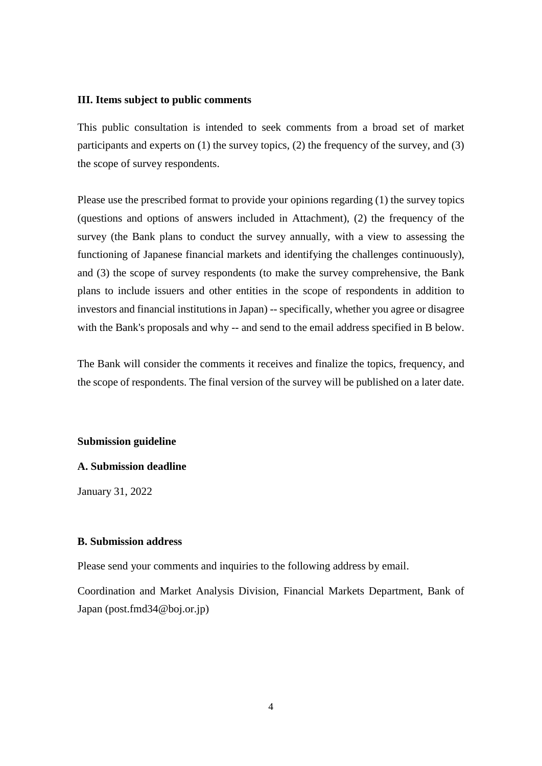#### **III. Items subject to public comments**

This public consultation is intended to seek comments from a broad set of market participants and experts on (1) the survey topics, (2) the frequency of the survey, and (3) the scope of survey respondents.

Please use the prescribed format to provide your opinions regarding (1) the survey topics (questions and options of answers included in Attachment), (2) the frequency of the survey (the Bank plans to conduct the survey annually, with a view to assessing the functioning of Japanese financial markets and identifying the challenges continuously), and (3) the scope of survey respondents (to make the survey comprehensive, the Bank plans to include issuers and other entities in the scope of respondents in addition to investors and financial institutions in Japan) -- specifically, whether you agree or disagree with the Bank's proposals and why -- and send to the email address specified in B below.

The Bank will consider the comments it receives and finalize the topics, frequency, and the scope of respondents. The final version of the survey will be published on a later date.

#### **Submission guideline**

#### **A. Submission deadline**

January 31, 2022

#### **B. Submission address**

Please send your comments and inquiries to the following address by email.

Coordination and Market Analysis Division, Financial Markets Department, Bank of Japan (post.fmd34@boj.or.jp)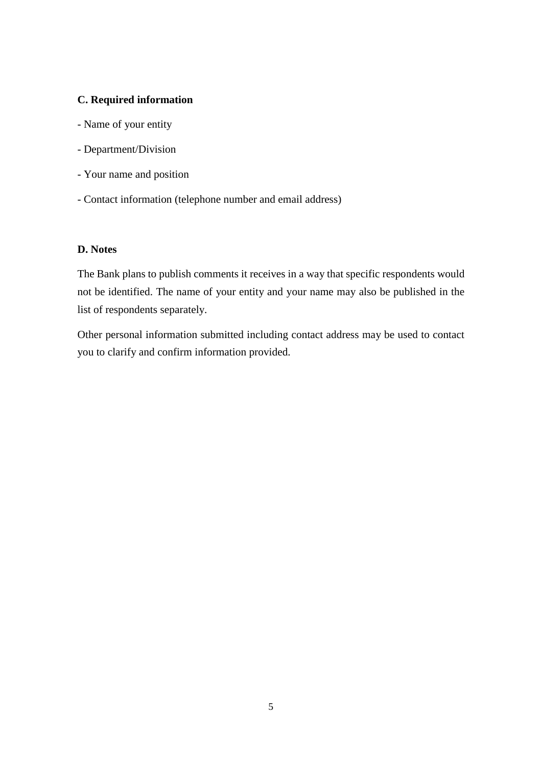## **C. Required information**

- Name of your entity
- Department/Division
- Your name and position
- Contact information (telephone number and email address)

# **D. Notes**

The Bank plans to publish comments it receives in a way that specific respondents would not be identified. The name of your entity and your name may also be published in the list of respondents separately.

Other personal information submitted including contact address may be used to contact you to clarify and confirm information provided.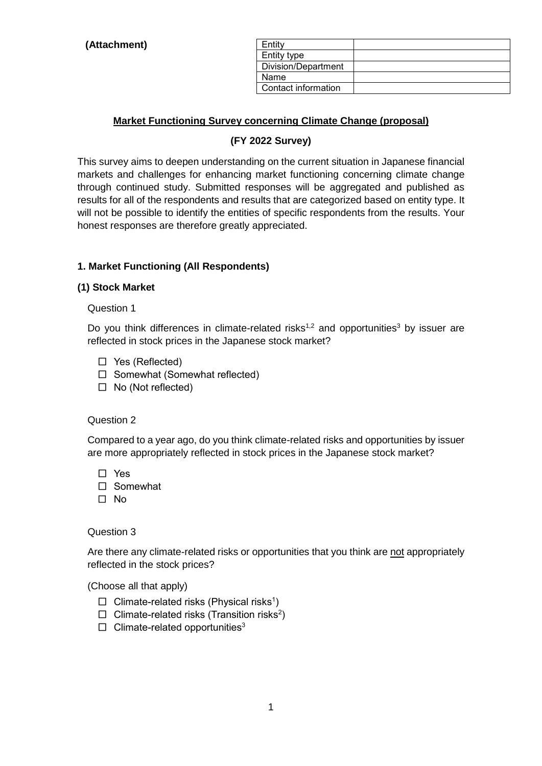| Entity              |  |
|---------------------|--|
| Entity type         |  |
| Division/Department |  |
| Name                |  |
| Contact information |  |

# **Market Functioning Survey concerning Climate Change (proposal)**

# **(FY 2022 Survey)**

This survey aims to deepen understanding on the current situation in Japanese financial markets and challenges for enhancing market functioning concerning climate change through continued study. Submitted responses will be aggregated and published as results for all of the respondents and results that are categorized based on entity type. It will not be possible to identify the entities of specific respondents from the results. Your honest responses are therefore greatly appreciated.

# **1. Market Functioning (All Respondents)**

### **(1) Stock Market**

Question 1

Do you think differences in climate-related risks<sup>1,2</sup> and opportunities<sup>3</sup> by issuer are reflected in stock prices in the Japanese stock market?

- □ Yes (Reflected)
- □ Somewhat (Somewhat reflected)
- □ No (Not reflected)

#### Question 2

Compared to a year ago, do you think climate-related risks and opportunities by issuer are more appropriately reflected in stock prices in the Japanese stock market?

□ Yes

□ Somewhat

□ No

Question 3

Are there any climate-related risks or opportunities that you think are not appropriately reflected in the stock prices?

- $\Box$  Climate-related risks (Physical risks<sup>1</sup>)
- $\Box$  Climate-related risks (Transition risks<sup>2</sup>)
- $\Box$  Climate-related opportunities<sup>3</sup>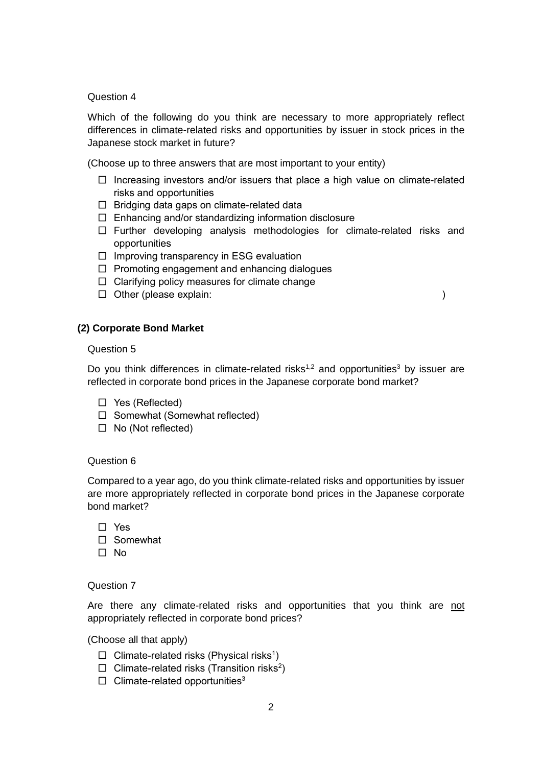#### Question 4

Which of the following do you think are necessary to more appropriately reflect differences in climate-related risks and opportunities by issuer in stock prices in the Japanese stock market in future?

(Choose up to three answers that are most important to your entity)

- $\square$  Increasing investors and/or issuers that place a high value on climate-related risks and opportunities
- □ Bridging data gaps on climate-related data
- $\Box$  Enhancing and/or standardizing information disclosure
- □ Further developing analysis methodologies for climate-related risks and opportunities
- $\square$  Improving transparency in ESG evaluation
- $\Box$  Promoting engagement and enhancing dialogues
- $\Box$  Clarifying policy measures for climate change
- □ Other (please explain: )

### **(2) Corporate Bond Market**

#### Question 5

Do you think differences in climate-related risks<sup>1,2</sup> and opportunities<sup>3</sup> by issuer are reflected in corporate bond prices in the Japanese corporate bond market?

- □ Yes (Reflected)
- □ Somewhat (Somewhat reflected)
- □ No (Not reflected)

#### Question 6

Compared to a year ago, do you think climate-related risks and opportunities by issuer are more appropriately reflected in corporate bond prices in the Japanese corporate bond market?

| $\Box$ Yes |
|------------|
| □ Somewhat |
| $\Box$ No  |

#### Question 7

Are there any climate-related risks and opportunities that you think are not appropriately reflected in corporate bond prices?

- $\Box$  Climate-related risks (Physical risks<sup>1</sup>)
- $\Box$  Climate-related risks (Transition risks<sup>2</sup>)
- $\Box$  Climate-related opportunities<sup>3</sup>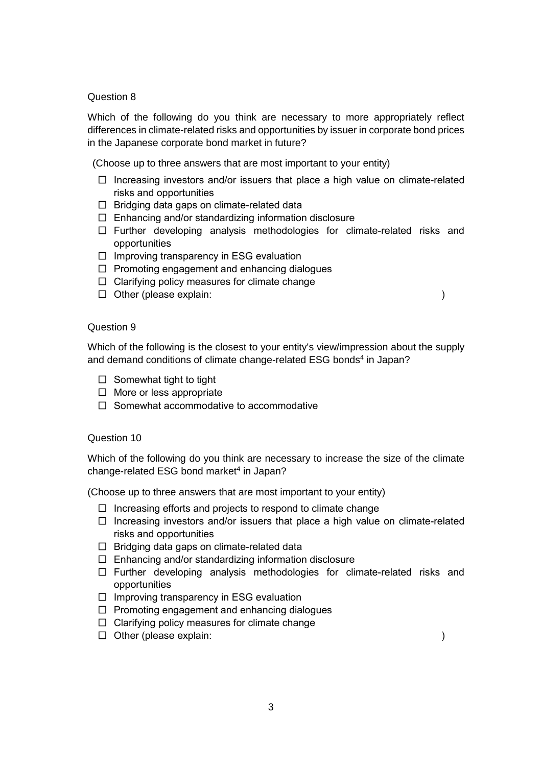#### Question 8

Which of the following do you think are necessary to more appropriately reflect differences in climate-related risks and opportunities by issuer in corporate bond prices in the Japanese corporate bond market in future?

(Choose up to three answers that are most important to your entity)

- □ Increasing investors and/or issuers that place a high value on climate-related risks and opportunities
- $\Box$  Bridging data gaps on climate-related data
- $\Box$  Enhancing and/or standardizing information disclosure
- □ Further developing analysis methodologies for climate-related risks and opportunities
- $\square$  Improving transparency in ESG evaluation
- $\Box$  Promoting engagement and enhancing dialogues
- $\Box$  Clarifying policy measures for climate change
- □ Other (please explain: )

#### Question 9

Which of the following is the closest to your entity's view/impression about the supply and demand conditions of climate change-related ESG bonds<sup>4</sup> in Japan?

- $\Box$  Somewhat tight to tight
- □ More or less appropriate
- $\Box$  Somewhat accommodative to accommodative

#### Question 10

Which of the following do you think are necessary to increase the size of the climate change-related ESG bond market<sup>4</sup> in Japan?

(Choose up to three answers that are most important to your entity)

- $\Box$  Increasing efforts and projects to respond to climate change
- $\square$  Increasing investors and/or issuers that place a high value on climate-related risks and opportunities
- □ Bridging data gaps on climate-related data
- $\Box$  Enhancing and/or standardizing information disclosure
- □ Further developing analysis methodologies for climate-related risks and opportunities
- $\square$  Improving transparency in ESG evaluation
- $\Box$  Promoting engagement and enhancing dialogues
- $\Box$  Clarifying policy measures for climate change
- □ Other (please explain: )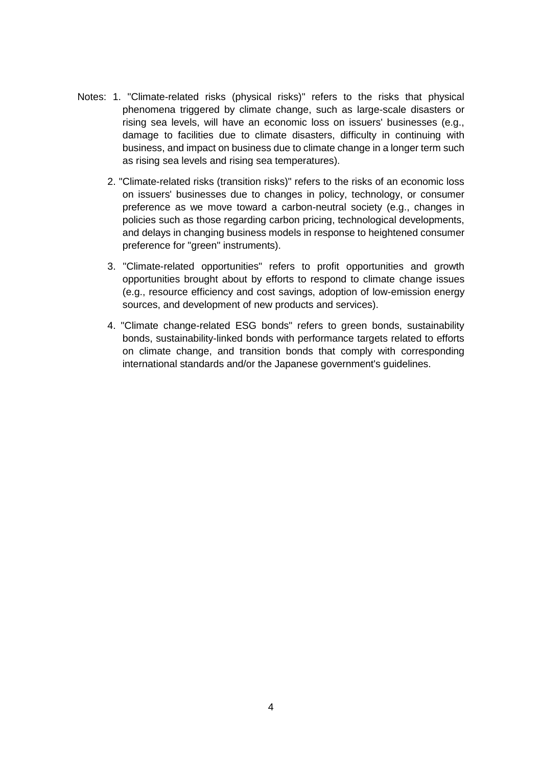- Notes: 1. "Climate-related risks (physical risks)" refers to the risks that physical phenomena triggered by climate change, such as large-scale disasters or rising sea levels, will have an economic loss on issuers' businesses (e.g., damage to facilities due to climate disasters, difficulty in continuing with business, and impact on business due to climate change in a longer term such as rising sea levels and rising sea temperatures).
	- 2. "Climate-related risks (transition risks)" refers to the risks of an economic loss on issuers' businesses due to changes in policy, technology, or consumer preference as we move toward a carbon-neutral society (e.g., changes in policies such as those regarding carbon pricing, technological developments, and delays in changing business models in response to heightened consumer preference for "green" instruments).
	- 3. "Climate-related opportunities" refers to profit opportunities and growth opportunities brought about by efforts to respond to climate change issues (e.g., resource efficiency and cost savings, adoption of low-emission energy sources, and development of new products and services).
	- 4. "Climate change-related ESG bonds" refers to green bonds, sustainability bonds, sustainability-linked bonds with performance targets related to efforts on climate change, and transition bonds that comply with corresponding international standards and/or the Japanese government's guidelines.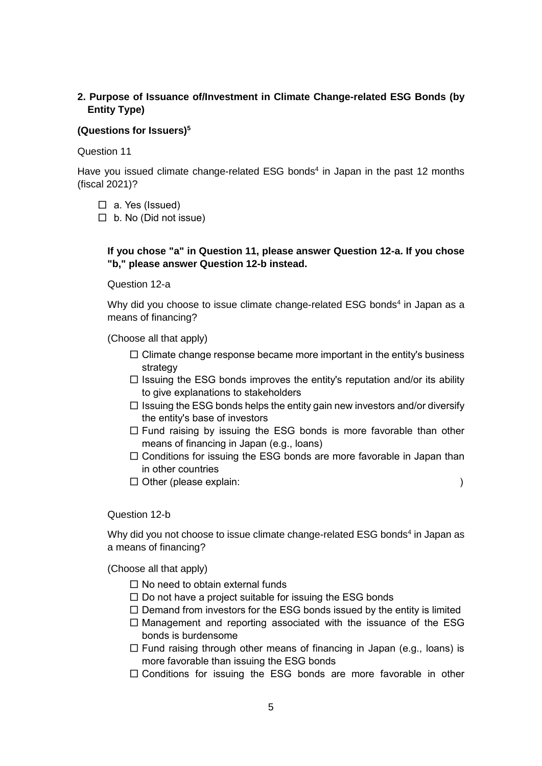# **2. Purpose of Issuance of/Investment in Climate Change-related ESG Bonds (by Entity Type)**

## **(Questions for Issuers)<sup>5</sup>**

Question 11

Have you issued climate change-related ESG bonds<sup>4</sup> in Japan in the past 12 months (fiscal 2021)?

- $\Box$  a. Yes (Issued)
- $\Box$  b. No (Did not issue)

# **If you chose "a" in Question 11, please answer Question 12-a. If you chose "b," please answer Question 12-b instead.**

Question 12-a

Why did you choose to issue climate change-related ESG bonds<sup>4</sup> in Japan as a means of financing?

(Choose all that apply)

- $\Box$  Climate change response became more important in the entity's business strategy
- $\Box$  Issuing the ESG bonds improves the entity's reputation and/or its ability to give explanations to stakeholders
- $\square$  Issuing the ESG bonds helps the entity gain new investors and/or diversify the entity's base of investors
- $\square$  Fund raising by issuing the ESG bonds is more favorable than other means of financing in Japan (e.g., loans)
- $\square$  Conditions for issuing the ESG bonds are more favorable in Japan than in other countries
- □ Other (please explain: )

## Question 12-b

Why did you not choose to issue climate change-related ESG bonds<sup>4</sup> in Japan as a means of financing?

- $\Box$  No need to obtain external funds
- $\square$  Do not have a project suitable for issuing the ESG bonds
- $\square$  Demand from investors for the ESG bonds issued by the entity is limited
- $\square$  Management and reporting associated with the issuance of the ESG bonds is burdensome
- $\square$  Fund raising through other means of financing in Japan (e.g., loans) is more favorable than issuing the ESG bonds
- $\square$  Conditions for issuing the ESG bonds are more favorable in other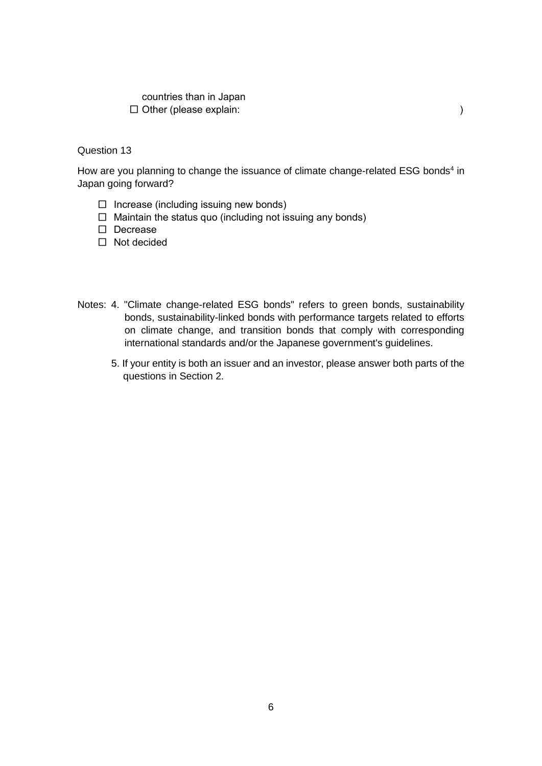countries than in Japan □ Other (please explain: )

# Question 13

How are you planning to change the issuance of climate change-related ESG bonds<sup>4</sup> in Japan going forward?

- $\Box$  Increase (including issuing new bonds)
- $\Box$  Maintain the status quo (including not issuing any bonds)

□ Decrease

- □ Not decided
- Notes: 4. "Climate change-related ESG bonds" refers to green bonds, sustainability bonds, sustainability-linked bonds with performance targets related to efforts on climate change, and transition bonds that comply with corresponding international standards and/or the Japanese government's guidelines.
	- 5. If your entity is both an issuer and an investor, please answer both parts of the questions in Section 2.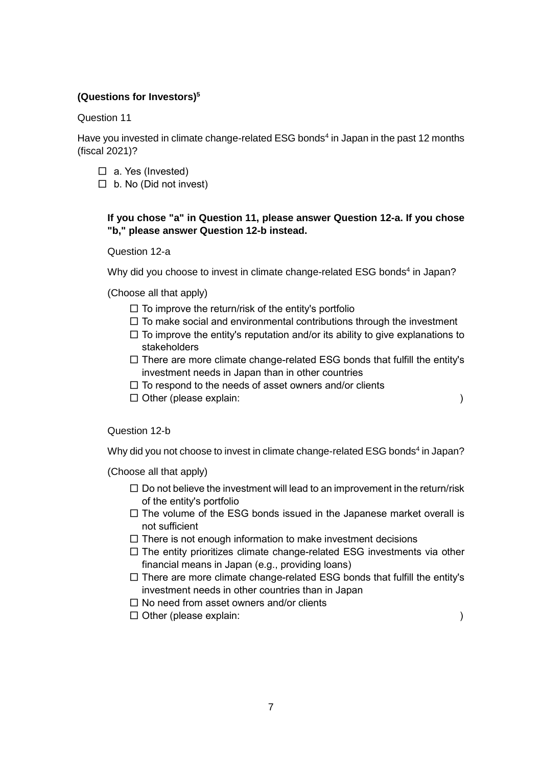# **(Questions for Investors)<sup>5</sup>**

Question 11

Have you invested in climate change-related ESG bonds<sup>4</sup> in Japan in the past 12 months (fiscal 2021)?

- $\Box$  a. Yes (Invested)
- $\Box$  b. No (Did not invest)

# **If you chose "a" in Question 11, please answer Question 12-a. If you chose "b," please answer Question 12-b instead.**

Question 12-a

Why did you choose to invest in climate change-related ESG bonds<sup>4</sup> in Japan?

(Choose all that apply)

- $\square$  To improve the return/risk of the entity's portfolio
- $\square$  To make social and environmental contributions through the investment
- $\square$  To improve the entity's reputation and/or its ability to give explanations to stakeholders
- $\square$  There are more climate change-related ESG bonds that fulfill the entity's investment needs in Japan than in other countries
- $\Box$  To respond to the needs of asset owners and/or clients
- □ Other (please explain: )

Question 12-b

Why did you not choose to invest in climate change-related ESG bonds<sup>4</sup> in Japan?

- $\square$  Do not believe the investment will lead to an improvement in the return/risk of the entity's portfolio
- $\square$  The volume of the ESG bonds issued in the Japanese market overall is not sufficient
- $\square$  There is not enough information to make investment decisions
- $\square$  The entity prioritizes climate change-related ESG investments via other financial means in Japan (e.g., providing loans)
- $\square$  There are more climate change-related ESG bonds that fulfill the entity's investment needs in other countries than in Japan
- $\square$  No need from asset owners and/or clients
- □ Other (please explain: )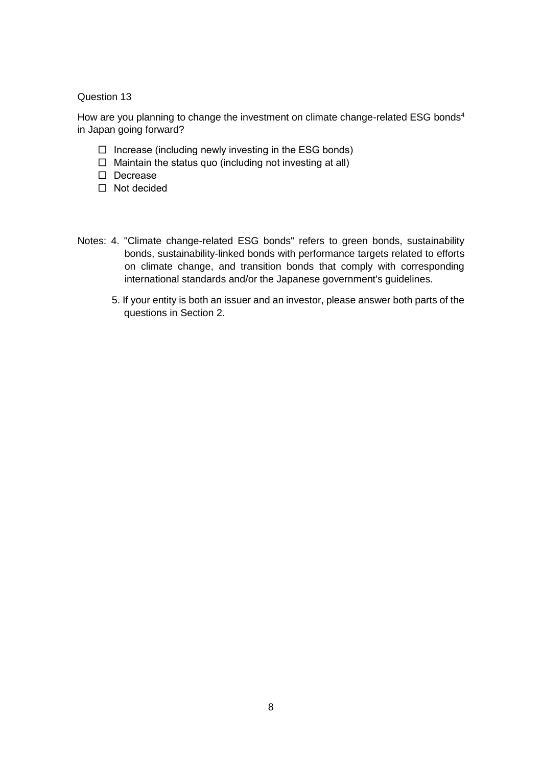## Question 13

How are you planning to change the investment on climate change-related ESG bonds<sup>4</sup> in Japan going forward?

- $\Box$  Increase (including newly investing in the ESG bonds)
- $\Box$  Maintain the status quo (including not investing at all)
- □ Decrease
- □ Not decided
- Notes: 4. "Climate change-related ESG bonds" refers to green bonds, sustainability bonds, sustainability-linked bonds with performance targets related to efforts on climate change, and transition bonds that comply with corresponding international standards and/or the Japanese government's guidelines.
	- 5. If your entity is both an issuer and an investor, please answer both parts of the questions in Section 2.